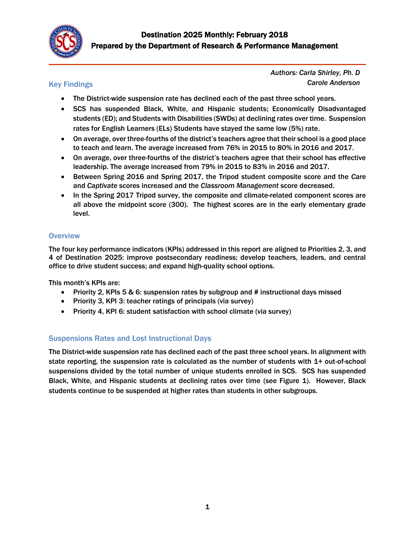

# Key Findings

*Authors: Carla Shirley, Ph. D Carole Anderson*

- The District-wide suspension rate has declined each of the past three school years.
- SCS has suspended Black, White, and Hispanic students; Economically Disadvantaged students (ED); and Students with Disabilities (SWDs) at declining rates over time. Suspension rates for English Learners (ELs) Students have stayed the same low (5%) rate.
- On average, over three-fourths of the district's teachers agree that their school is a good place to teach and learn. The average increased from 76% in 2015 to 80% in 2016 and 2017.
- On average, over three-fourths of the district's teachers agree that their school has effective leadership. The average increased from 79% in 2015 to 83% in 2016 and 2017.
- Between Spring 2016 and Spring 2017, the Tripod student composite score and the *Care* and *Captivate* scores increased and the *Classroom Management* score decreased.
- In the Spring 2017 Tripod survey, the composite and climate-related component scores are all above the midpoint score (300). The highest scores are in the early elementary grade level.

## **Overview**

The four key performance indicators (KPIs) addressed in this report are aligned to Priorities 2, 3, and 4 of Destination 2025: improve postsecondary readiness; develop teachers, leaders, and central office to drive student success; and expand high-quality school options.

This month's KPIs are:

- Priority 2, KPIs 5 & 6: suspension rates by subgroup and # instructional days missed
- Priority 3, KPI 3: teacher ratings of principals (via survey)
- Priority 4, KPI 6: student satisfaction with school climate (via survey)

#### Suspensions Rates and Lost Instructional Days

The District-wide suspension rate has declined each of the past three school years. In alignment with state reporting, the suspension rate is calculated as the number of students with 1+ out-of-school suspensions divided by the total number of unique students enrolled in SCS. SCS has suspended Black, White, and Hispanic students at declining rates over time (see Figure 1). However, Black students continue to be suspended at higher rates than students in other subgroups.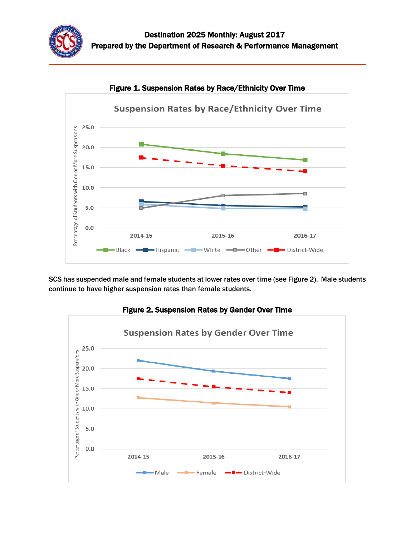



Figure 1. Suspension Rates by Race/Ethnicity Over Time

SCS has suspended male and female students at lower rates over time (see Figure 2). Male students continue to have higher suspension rates than female students.



Figure 2. Suspension Rates by Gender Over Time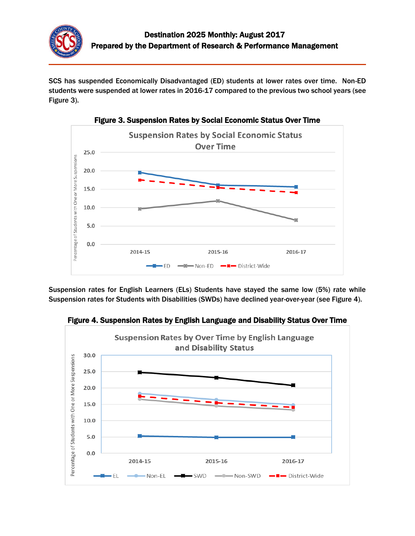

SCS has suspended Economically Disadvantaged (ED) students at lower rates over time. Non-ED students were suspended at lower rates in 2016-17 compared to the previous two school years (see Figure 3).



Figure 3. Suspension Rates by Social Economic Status Over Time

Suspension rates for English Learners (ELs) Students have stayed the same low (5%) rate while Suspension rates for Students with Disabilities (SWDs) have declined year-over-year (see Figure 4).



Figure 4. Suspension Rates by English Language and Disability Status Over Time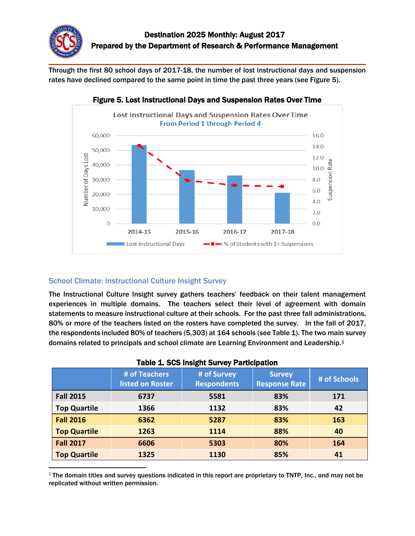

Through the first 80 school days of 2017-18, the number of lost instructional days and suspension rates have declined compared to the same point in time the past three years (see Figure 5).



# Figure 5. Lost Instructional Days and Suspension Rates Over Time

## School Climate: Instructional Culture Insight Survey

 $\overline{\phantom{a}}$ 

The Instructional Culture Insight survey gathers teachers' feedback on their talent management experiences in multiple domains. The teachers select their level of agreement with domain statements to measure instructional culture at their schools. For the past three fall administrations, 80% or more of the teachers listed on the rosters have completed the survey. In the fall of 2017, the respondents included 80% of teachers (5,303) at 164 schools (see Table 1). The two main survey domains related to principals and school climate are Learning Environment and Leadership.<sup>1</sup>

|                     | # of Teachers<br>listed on Roster | # of Survey<br><b>Respondents</b> | <b>Survey</b><br><b>Response Rate</b> | # of Schools |
|---------------------|-----------------------------------|-----------------------------------|---------------------------------------|--------------|
| <b>Fall 2015</b>    | 6737                              | 5581                              | 83%                                   | 171          |
| <b>Top Quartile</b> | 1366                              | 1132                              | 83%                                   | 42           |
| <b>Fall 2016</b>    | 6362                              | 5287                              | 83%                                   | 163          |
| <b>Top Quartile</b> | 1263                              | 1114                              | 88%                                   | 40           |
| <b>Fall 2017</b>    | 6606                              | 5303                              | 80%                                   | 164          |
| <b>Top Quartile</b> | 1325                              | 1130                              | 85%                                   | 41           |

#### Table 1. SCS Insight Survey Participation

 $1$  The domain titles and survey questions indicated in this report are proprietary to TNTP, Inc., and may not be replicated without written permission.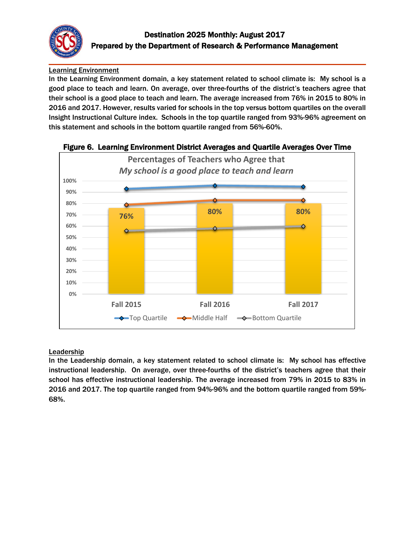

# Learning Environment

In the Learning Environment domain, a key statement related to school climate is: My school is a good place to teach and learn. On average, over three-fourths of the district's teachers agree that their school is a good place to teach and learn. The average increased from 76% in 2015 to 80% in 2016 and 2017. However, results varied for schools in the top versus bottom quartiles on the overall Insight Instructional Culture index. Schools in the top quartile ranged from 93%-96% agreement on this statement and schools in the bottom quartile ranged from 56%-60%.



#### Figure 6. Learning Environment District Averages and Quartile Averages Over Time

## Leadership

In the Leadership domain, a key statement related to school climate is: My school has effective instructional leadership. On average, over three-fourths of the district's teachers agree that their school has effective instructional leadership. The average increased from 79% in 2015 to 83% in 2016 and 2017. The top quartile ranged from 94%-96% and the bottom quartile ranged from 59%- 68%.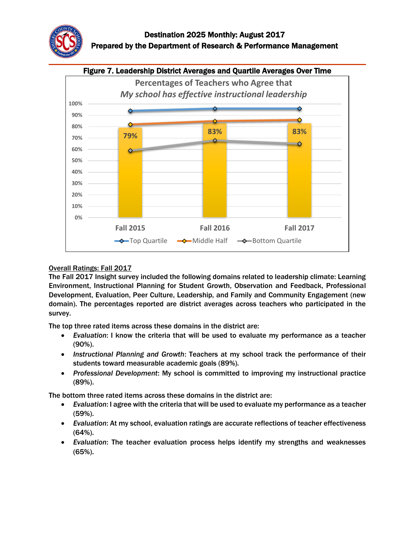



#### Overall Ratings: Fall 2017

The Fall 2017 Insight survey included the following domains related to leadership climate: Learning Environment, Instructional Planning for Student Growth, Observation and Feedback, Professional Development, Evaluation, Peer Culture, Leadership, and Family and Community Engagement (new domain). The percentages reported are district averages across teachers who participated in the survey.

The top three rated items across these domains in the district are:

- *Evaluation*: I know the criteria that will be used to evaluate my performance as a teacher (90%).
- *Instructional Planning and Growth*: Teachers at my school track the performance of their students toward measurable academic goals (89%).
- *Professional Development*: My school is committed to improving my instructional practice (89%).

The bottom three rated items across these domains in the district are:

- *Evaluation*: I agree with the criteria that will be used to evaluate my performance as a teacher (59%).
- *Evaluation*: At my school, evaluation ratings are accurate reflections of teacher effectiveness (64%).
- *Evaluation*: The teacher evaluation process helps identify my strengths and weaknesses (65%).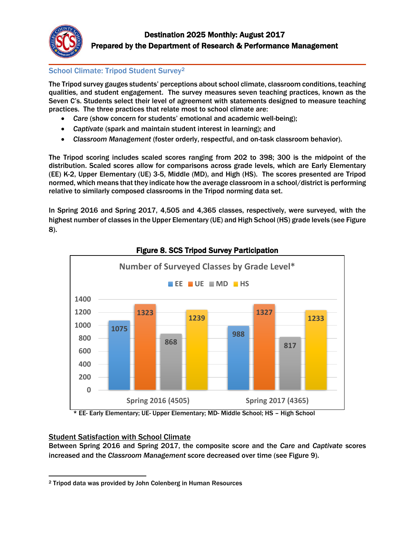

# School Climate: Tripod Student Survey<sup>2</sup>

The Tripod survey gauges students' perceptions about school climate, classroom conditions, teaching qualities, and student engagement. The survey measures seven teaching practices, known as the Seven C's. Students select their level of agreement with statements designed to measure teaching practices. The three practices that relate most to school climate are:

- *Care* (show concern for students' emotional and academic well-being);
- *Captivate* (spark and maintain student interest in learning); and
- *Classroom Management* (foster orderly, respectful, and on-task classroom behavior).

The Tripod scoring includes scaled scores ranging from 202 to 398; 300 is the midpoint of the distribution. Scaled scores allow for comparisons across grade levels, which are Early Elementary (EE) K-2, Upper Elementary (UE) 3-5, Middle (MD), and High (HS). The scores presented are Tripod normed, which means that they indicate how the average classroom in a school/district is performing relative to similarly composed classrooms in the Tripod norming data set.

In Spring 2016 and Spring 2017, 4,505 and 4,365 classes, respectively, were surveyed, with the highest number of classes in the Upper Elementary (UE) and High School (HS) grade levels (see Figure 8).



## Figure 8. SCS Tripod Survey Participation

\* EE- Early Elementary; UE- Upper Elementary; MD- Middle School; HS – High School

#### Student Satisfaction with School Climate

Between Spring 2016 and Spring 2017, the composite score and the *Care* and *Captivate* scores increased and the *Classroom Management* score decreased over time (see Figure 9).

 $\overline{a}$ <sup>2</sup> Tripod data was provided by John Colenberg in Human Resources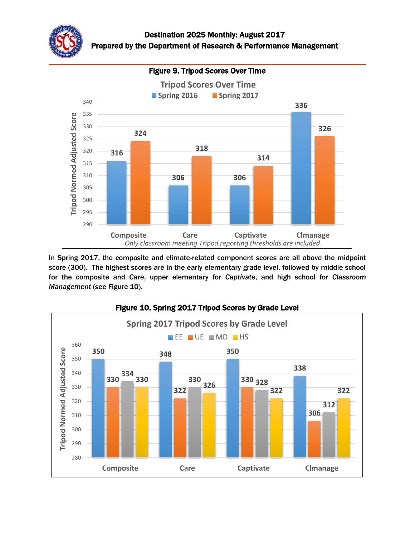



In Spring 2017, the composite and climate-related component scores are all above the midpoint score (300). The highest scores are in the early elementary grade level, followed by middle school for the composite and *Care*, upper elementary for *Captivate*, and high school for *Classroom Management* (see Figure 10).



# Figure 10. Spring 2017 Tripod Scores by Grade Level